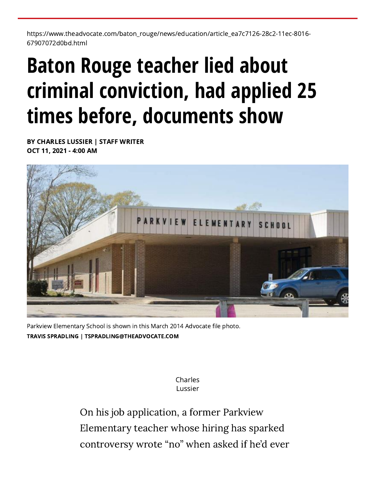https://www.theadvocate.com/baton\_rouge/news/education/article\_ea7c7126-28c2-11ec-8016- 67907072d0bd.html

## **Baton Rouge teacher lied about criminal conviction, had applied 25 times before, documents show**

[BY CHARLES LUSSIER | STAFF WRITER](https://www.theadvocate.com/users/profile/Charles%20Lussier) OCT 11, 2021 - 4:00 AM



Parkview Elementary School is shown in this March 2014 Advocate file photo. [TRAVIS SPRADLING | TSPRADLING@THEADVOCATE.COM](https://www.theadvocate.com/users/profile/Travis%20Spradling)

> [Charles](https://www.theadvocate.com/users/profile/Charles%20Lussier) Lussier

On his job application, a former Parkview Elementary teacher whose hiring has sparked controversy wrote "no" when asked if he'd ever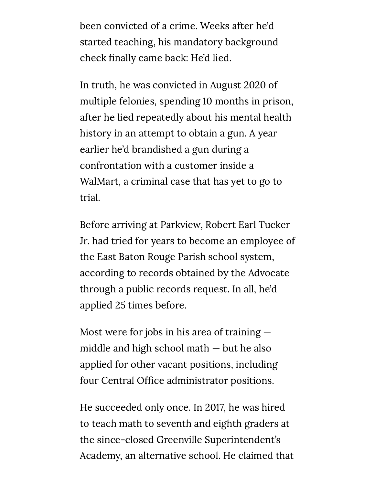been convicted of a crime. Weeks after he'd started teaching, his mandatory background check finally came back: He'd lied.

In truth, he was convicted in August 2020 of multiple felonies, spending 10 months in prison, after he lied repeatedly about his mental health history in an attempt to obtain a gun. A year earlier he'd brandished a gun during a confrontation with a customer inside a WalMart, a criminal case that has yet to go to trial.

Before arriving at Parkview, Robert Earl Tucker Jr. had tried for years to become an employee of the East Baton Rouge Parish school system, according to records obtained by the Advocate through a public records request. In all, he'd applied 25 times before.

Most were for jobs in his area of training middle and high school math — but he also applied for other vacant positions, including four Central Office administrator positions.

He succeeded only once. In 2017, he was hired to teach math to seventh and eighth graders at the since-closed Greenville Superintendent's Academy, an alternative school. He claimed that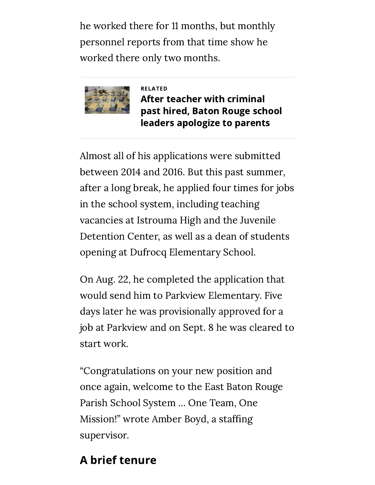he worked there for 11 months, but monthly personnel reports from that time show he worked there only two months.



RELATED After teacher with criminal [past hired, Baton Rouge school](https://www.theadvocate.com/baton_rouge/news/crime_police/article_993c4706-2704-11ec-8582-8f48b93f66a7.html) leaders apologize to parents

Almost all of his applications were submitted between 2014 and 2016. But this past summer, after a long break, he applied four times for jobs in the school system, including teaching vacancies at Istrouma High and the Juvenile Detention Center, as well as a dean of students opening at Dufrocq Elementary School.

On Aug. 22, he completed the application that would send him to Parkview Elementary. Five days later he was provisionally approved for a job at Parkview and on Sept. 8 he was cleared to start work.

"Congratulations on your new position and once again, welcome to the East Baton Rouge Parish School System … One Team, One Mission!" wrote Amber Boyd, a staffing supervisor.

## A brief tenure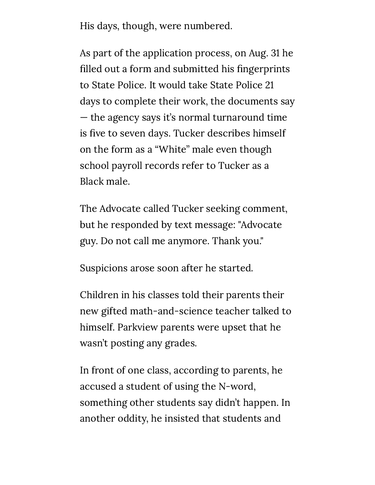His days, though, were numbered.

As part of the application process, on Aug. 31 he filled out a form and submitted his fingerprints to State Police. It would take State Police 21 days to complete their work, the documents say — the agency says it's normal turnaround time is five to seven days. Tucker describes himself on the form as a "White" male even though school payroll records refer to Tucker as a Black male.

The Advocate called Tucker seeking comment, but he responded by text message: "Advocate guy. Do not call me anymore. Thank you."

Suspicions arose soon after he started.

Children in his classes told their parents their new gifted math-and-science teacher talked to himself. Parkview parents were upset that he wasn't posting any grades.

In front of one class, according to parents, he accused a student of using the N-word, something other students say didn't happen. In another oddity, he insisted that students and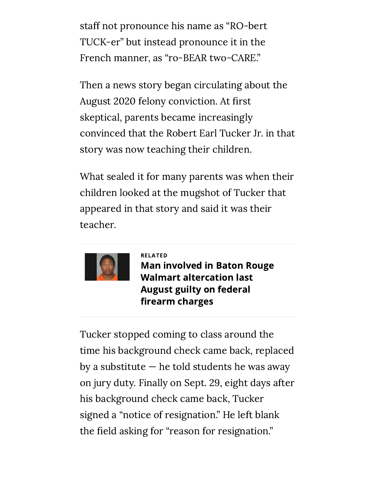staff not pronounce his name as "RO-bert TUCK-er" but instead pronounce it in the French manner, as "ro-BEAR two-CARE."

Then a news story began circulating about the August 2020 felony conviction. At first skeptical, parents became increasingly convinced that the Robert Earl Tucker Jr. in that story was now teaching their children.

What sealed it for many parents was when their children looked at the mugshot of Tucker that appeared in that story and said it was their teacher.



RELATED [Man involved in Baton Rouge](https://www.theadvocate.com/baton_rouge/news/courts/article_cb99a128-d7e9-11ea-a418-bfe13261e984.html) Walmart altercation last August guilty on federal firearm charges

Tucker stopped coming to class around the time his background check came back, replaced by a substitute  $-$  he told students he was away on jury duty. Finally on Sept. 29, eight days after his background check came back, Tucker signed a "notice of resignation." He left blank the field asking for "reason for resignation."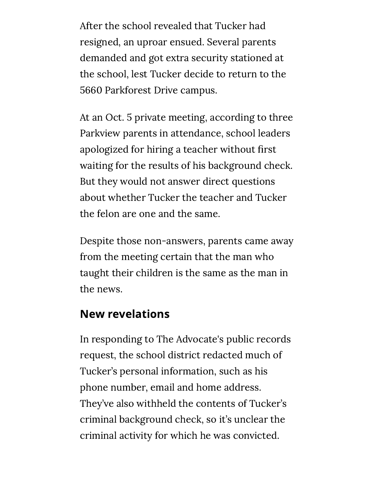After the school revealed that Tucker had resigned, an uproar ensued. Several parents demanded and got extra security stationed at the school, lest Tucker decide to return to the 5660 Parkforest Drive campus.

At an Oct. 5 private meeting, according to three Parkview parents in attendance, school leaders apologized for hiring a teacher without first waiting for the results of his background check. But they would not answer direct questions about whether Tucker the teacher and Tucker the felon are one and the same.

Despite those non-answers, parents came away from the meeting certain that the man who taught their children is the same as the man in the news.

## New revelations

In responding to The Advocate's public records request, the school district redacted much of Tucker's personal information, such as his phone number, email and home address. They've also withheld the contents of Tucker's criminal background check, so it's unclear the criminal activity for which he was convicted.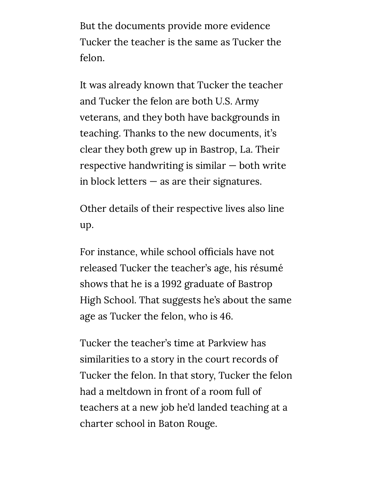But the documents provide more evidence Tucker the teacher is the same as Tucker the felon.

It was already known that Tucker the teacher and Tucker the felon are both U.S. Army veterans, and they both have backgrounds in teaching. Thanks to the new documents, it's clear they both grew up in Bastrop, La. Their respective handwriting is similar — both write in block letters  $-$  as are their signatures.

Other details of their respective lives also line up.

For instance, while school officials have not released Tucker the teacher's age, his résumé shows that he is a 1992 graduate of Bastrop High School. That suggests he's about the same age as Tucker the felon, who is 46.

Tucker the teacher's time at Parkview has similarities to a story in the court records of Tucker the felon. In that story, Tucker the felon had a meltdown in front of a room full of teachers at a new job he'd landed teaching at a charter school in Baton Rouge.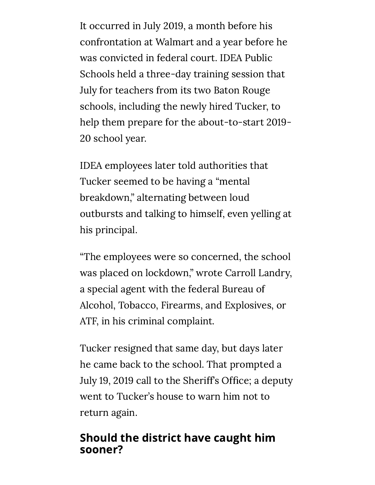It occurred in July 2019, a month before his confrontation at Walmart and a year before he was convicted in federal court. IDEA Public Schools held a three-day training session that July for teachers from its two Baton Rouge schools, including the newly hired Tucker, to help them prepare for the about-to-start 2019- 20 school year.

IDEA employees later told authorities that Tucker seemed to be having a "mental breakdown," alternating between loud outbursts and talking to himself, even yelling at his principal.

"The employees were so concerned, the school was placed on lockdown," wrote Carroll Landry, a special agent with the federal Bureau of Alcohol, Tobacco, Firearms, and Explosives, or ATF, in his criminal complaint.

Tucker resigned that same day, but days later he came back to the school. That prompted a July 19, 2019 call to the Sheriff's Office; a deputy went to Tucker's house to warn him not to return again.

## Should the district have caught him sooner?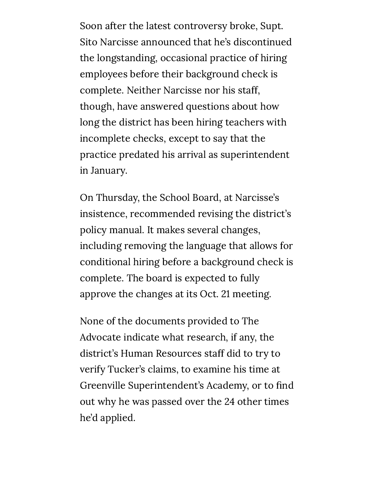Soon after the latest controversy broke, Supt. Sito Narcisse announced that he's discontinued the longstanding, occasional practice of hiring employees before their background check is complete. Neither Narcisse nor his staff, though, have answered questions about how long the district has been hiring teachers with incomplete checks, except to say that the practice predated his arrival as superintendent in January.

On Thursday, the School Board, at Narcisse's insistence, recommended revising the district's policy manual. It makes several changes, including removing the language that allows for conditional hiring before a [background](https://go.boarddocs.com/la/ebrp/Board.nsf/files/C7JRR36E81A9/$file/Policy-GBC-Recruitment.pdf) check is complete. The board is expected to fully approve the changes at its Oct. 21 meeting.

None of the documents provided to The Advocate indicate what research, if any, the district's Human Resources staff did to try to verify Tucker's claims, to examine his time at Greenville Superintendent's Academy, or to find out why he was passed over the 24 other times he'd applied.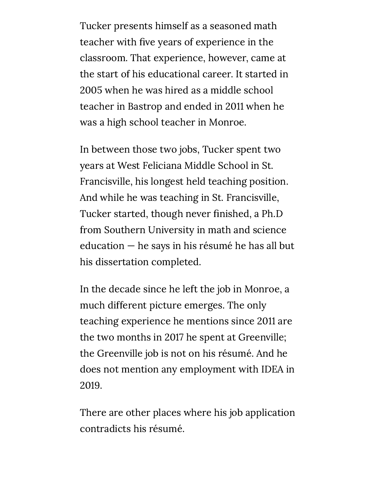Tucker presents himself as a seasoned math teacher with five years of experience in the classroom. That experience, however, came at the start of his educational career. It started in 2005 when he was hired as a middle school teacher in Bastrop and ended in 2011 when he was a high school teacher in Monroe.

In between those two jobs, Tucker spent two years at West Feliciana Middle School in St. Francisville, his longest held teaching position. And while he was teaching in St. Francisville, Tucker started, though never finished, a Ph.D from Southern University in math and science education — he says in his résumé he has all but his dissertation completed.

In the decade since he left the job in Monroe, a much different picture emerges. The only teaching experience he mentions since 2011 are the two months in 2017 he spent at Greenville; the Greenville job is not on his résumé. And he does not mention any employment with IDEA in 2019.

There are other places where his job application contradicts his résumé.